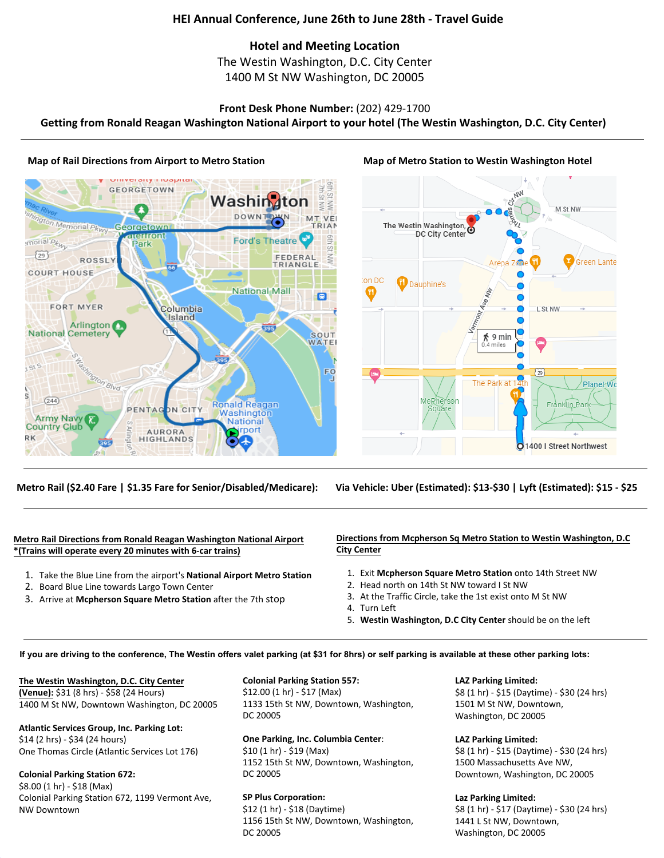# **HEI Annual Conference, June 26th to June 28th - Travel Guide**

# **Hotel and Meeting Location**

The Westin Washington, D.C. City Center 1400 M St NW Washington, DC 20005

## **Front Desk Phone Number:** (202) 429-1700

**Getting from Ronald Reagan Washington National Airport to your hotel (The Westin Washington, D.C. City Center)**

## **Map of Rail Directions from Airport to Metro Station Mack Map of Metro Station to Westin Washington Hotel**

#### moop **GEORGETOWN**  $\omega$  $\bar{\mathbb{Q}}$ Washi  $\geq$  $\leq$ DOV Ington Memorial Phiny VF **RIAN** Georgetown acarroni **o** morial P<sub>ku</sub> **Ford's Theatre** Park  $\overline{\omega}$  $\sqrt{29}$ FEDERAL W **ROSSLY** TRIANGLE **COURT HOUSE National Mall** 向 **FORT MYER** Columbia Island Arlington **A** 395 **National Cemetery** SOUT WATEI FO mon Blvd  $(244)$ **Ronald Reagan** PENTA **DN CIT** Washington Army Navy **National Country Club port** URORA RK **HIGHLANDS** 395

### **Metro Rail (\$2.40 Fare | \$1.35 Fare for Senior/Disabled/Medicare):**



## **Via Vehicle: Uber (Estimated): \$13-\$30 | Lyft (Estimated): \$15 - \$25**

## **Metro Rail Directions from Ronald Reagan Washington National Airport \*(Trains will operate every 20 minutes with 6-car trains)**

- 1. Take the Blue Line from the airport's **National Airport Metro Station**
- 2. Board Blue Line towards Largo Town Center
- 3. Arrive at **Mcpherson Square Metro Station** after the 7th stop

#### **Directions from Mcpherson Sq Metro Station to Westin Washington, D.C City Center**

- 1. Exit **Mcpherson Square Metro Station** onto 14th Street NW
- 2. Head north on 14th St NW toward I St NW
- 3. At the Traffic Circle, take the 1st exist onto M St NW
- 4. Turn Left
- 5. **Westin Washington, D.C City Center** should be on the left

#### **If you are driving to the conference, The Westin offers valet parking (at \$31 for 8hrs) or self parking is available at these other parking lots:**

#### **The Westin Washington, D.C. City Center**

**(Venue):** \$31 (8 hrs) - \$58 (24 Hours) 1400 M St NW, Downtown Washington, DC 20005

#### **Atlantic Services Group, Inc. Parking Lot:**

\$14 (2 hrs) - \$34 (24 hours) One Thomas Circle (Atlantic Services Lot 176)

## **Colonial Parking Station 672:**

\$8.00 (1 hr) - \$18 (Max) Colonial Parking Station 672, 1199 Vermont Ave, NW Downtown

# **Colonial Parking Station 557:**

\$12.00 (1 hr) - \$17 (Max) 1133 15th St NW, Downtown, Washington, DC 20005

# **One Parking, Inc. Columbia Center**:

\$10 (1 hr) - \$19 (Max) 1152 15th St NW, Downtown, Washington, DC 20005

## **SP Plus Corporation:**

\$12 (1 hr) - \$18 (Daytime) 1156 15th St NW, Downtown, Washington, DC 20005

#### **LAZ Parking Limited:**

\$8 (1 hr) - \$15 (Daytime) - \$30 (24 hrs) 1501 M St NW, Downtown, Washington, DC 20005

#### **LAZ Parking Limited:**

\$8 (1 hr) - \$15 (Daytime) - \$30 (24 hrs) 1500 Massachusetts Ave NW, Downtown, Washington, DC 20005

#### **Laz Parking Limited:**

\$8 (1 hr) - \$17 (Daytime) - \$30 (24 hrs) 1441 L St NW, Downtown, Washington, DC 20005